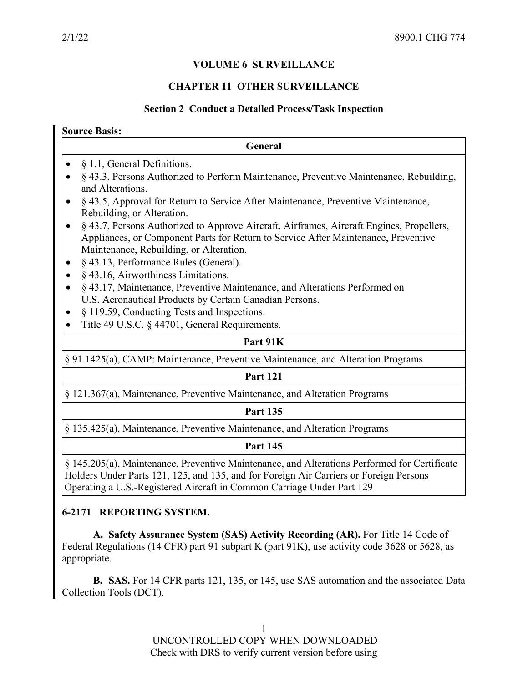## **VOLUME 6 SURVEILLANCE**

#### **CHAPTER 11 OTHER SURVEILLANCE**

#### **Section 2 Conduct a Detailed Process/Task Inspection**

| General                                                                                                                                                                                                                                                                                                                                                                                                                                                                                                                                                                                                                                                                                                                                                                        |
|--------------------------------------------------------------------------------------------------------------------------------------------------------------------------------------------------------------------------------------------------------------------------------------------------------------------------------------------------------------------------------------------------------------------------------------------------------------------------------------------------------------------------------------------------------------------------------------------------------------------------------------------------------------------------------------------------------------------------------------------------------------------------------|
| § 1.1, General Definitions.<br>§ 43.3, Persons Authorized to Perform Maintenance, Preventive Maintenance, Rebuilding,<br>and Alterations.<br>§ 43.5, Approval for Return to Service After Maintenance, Preventive Maintenance,<br>Rebuilding, or Alteration.<br>§ 43.7, Persons Authorized to Approve Aircraft, Airframes, Aircraft Engines, Propellers,<br>$\bullet$<br>Appliances, or Component Parts for Return to Service After Maintenance, Preventive<br>Maintenance, Rebuilding, or Alteration.<br>§ 43.13, Performance Rules (General).<br>§ 43.16, Airworthiness Limitations.<br>§ 43.17, Maintenance, Preventive Maintenance, and Alterations Performed on<br>U.S. Aeronautical Products by Certain Canadian Persons.<br>§ 119.59, Conducting Tests and Inspections. |
| Title 49 U.S.C. § 44701, General Requirements.<br>$\bullet$                                                                                                                                                                                                                                                                                                                                                                                                                                                                                                                                                                                                                                                                                                                    |
| Part 91K                                                                                                                                                                                                                                                                                                                                                                                                                                                                                                                                                                                                                                                                                                                                                                       |
| § 91.1425(a), CAMP: Maintenance, Preventive Maintenance, and Alteration Programs                                                                                                                                                                                                                                                                                                                                                                                                                                                                                                                                                                                                                                                                                               |
| <b>Part 121</b>                                                                                                                                                                                                                                                                                                                                                                                                                                                                                                                                                                                                                                                                                                                                                                |
| § 121.367(a), Maintenance, Preventive Maintenance, and Alteration Programs                                                                                                                                                                                                                                                                                                                                                                                                                                                                                                                                                                                                                                                                                                     |
| <b>Part 135</b>                                                                                                                                                                                                                                                                                                                                                                                                                                                                                                                                                                                                                                                                                                                                                                |
| § 135.425(a), Maintenance, Preventive Maintenance, and Alteration Programs                                                                                                                                                                                                                                                                                                                                                                                                                                                                                                                                                                                                                                                                                                     |
| <b>Part 145</b>                                                                                                                                                                                                                                                                                                                                                                                                                                                                                                                                                                                                                                                                                                                                                                |
| § 145.205(a), Maintenance, Preventive Maintenance, and Alterations Performed for Certificate<br>Holders Under Parts 121, 125, and 135, and for Foreign Air Carriers or Foreign Persons                                                                                                                                                                                                                                                                                                                                                                                                                                                                                                                                                                                         |

Operating a U.S.-Registered Aircraft in Common Carriage Under Part 129

## **6-2171 REPORTING SYSTEM.**

**A. Safety Assurance System (SAS) Activity Recording (AR).** For Title 14 Code of Federal Regulations (14 CFR) part 91 subpart K (part 91K), use activity code 3628 or 5628, as appropriate.

**B. SAS.** For 14 CFR parts 121, 135, or 145, use SAS automation and the associated Data Collection Tools (DCT).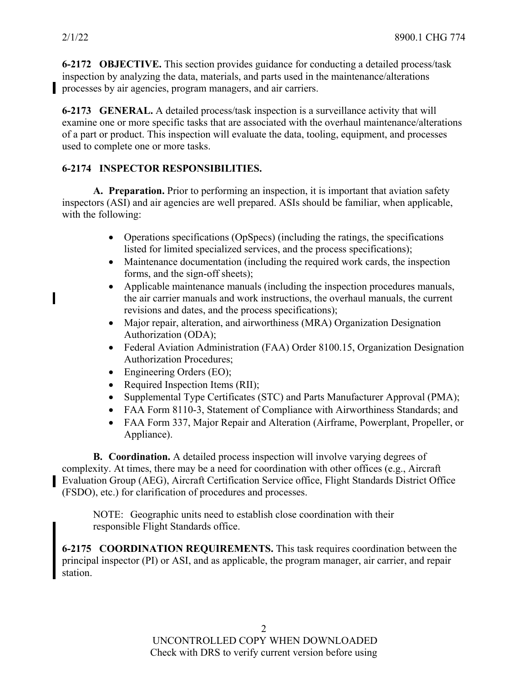ı

**6-2172 OBJECTIVE.** This section provides guidance for conducting a detailed process/task inspection by analyzing the data, materials, and parts used in the maintenance/alterations processes by air agencies, program managers, and air carriers.

**6-2173 GENERAL.** A detailed process/task inspection is a surveillance activity that will examine one or more specific tasks that are associated with the overhaul maintenance/alterations of a part or product. This inspection will evaluate the data, tooling, equipment, and processes used to complete one or more tasks.

# **6-2174 INSPECTOR RESPONSIBILITIES.**

**A. Preparation.** Prior to performing an inspection, it is important that aviation safety inspectors (ASI) and air agencies are well prepared. ASIs should be familiar, when applicable, with the following:

- Operations specifications (OpSpecs) (including the ratings, the specifications listed for limited specialized services, and the process specifications);
- Maintenance documentation (including the required work cards, the inspection forms, and the sign-off sheets);
- Applicable maintenance manuals (including the inspection procedures manuals, the air carrier manuals and work instructions, the overhaul manuals, the current revisions and dates, and the process specifications);
- Major repair, alteration, and airworthiness (MRA) Organization Designation Authorization (ODA);
- Federal Aviation Administration (FAA) Order 8100.15, Organization Designation Authorization Procedures;
- Engineering Orders (EO);
- Required Inspection Items (RII);
- Supplemental Type Certificates (STC) and Parts Manufacturer Approval (PMA);
- FAA Form 8110-3, Statement of Compliance with Airworthiness Standards; and
- FAA Form 337, Major Repair and Alteration (Airframe, Powerplant, Propeller, or Appliance).

**B. Coordination.** A detailed process inspection will involve varying degrees of complexity. At times, there may be a need for coordination with other offices (e.g., Aircraft Evaluation Group (AEG), Aircraft Certification Service office, Flight Standards District Office (FSDO), etc.) for clarification of procedures and processes.

NOTE: Geographic units need to establish close coordination with their responsible Flight Standards office.

**6-2175 COORDINATION REQUIREMENTS.** This task requires coordination between the principal inspector (PI) or ASI, and as applicable, the program manager, air carrier, and repair station.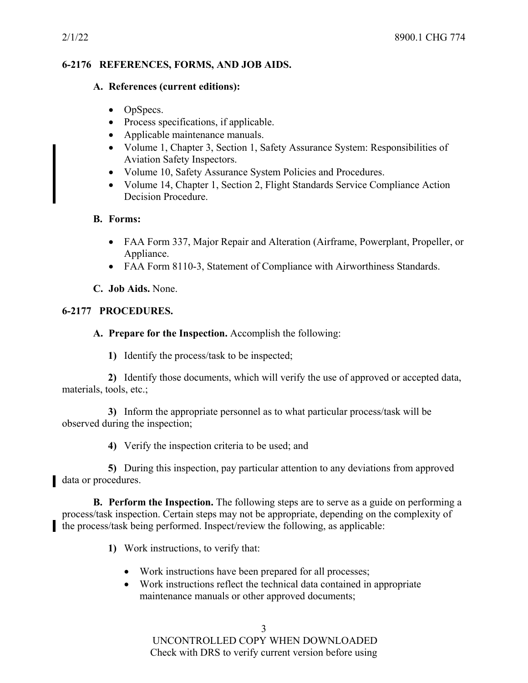### **6-2176 REFERENCES, FORMS, AND JOB AIDS.**

#### **A. References (current editions):**

- OpSpecs.
- Process specifications, if applicable.
- Applicable maintenance manuals.
- Volume 1, Chapter 3, Section 1, Safety Assurance System: Responsibilities of Aviation Safety Inspectors.
- Volume 10, Safety Assurance System Policies and Procedures.
- Volume 14, Chapter 1, Section 2, Flight Standards Service Compliance Action Decision Procedure.

## **B. Forms:**

- FAA Form 337, Major Repair and Alteration (Airframe, Powerplant, Propeller, or Appliance.
- FAA Form 8110-3, Statement of Compliance with Airworthiness Standards.

## **C. Job Aids.** None.

## **6-2177 PROCEDURES.**

## **A. Prepare for the Inspection.** Accomplish the following:

**1)** Identify the process/task to be inspected;

**2)** Identify those documents, which will verify the use of approved or accepted data, materials, tools, etc.;

**3)** Inform the appropriate personnel as to what particular process/task will be observed during the inspection;

**4)** Verify the inspection criteria to be used; and

**5)** During this inspection, pay particular attention to any deviations from approved data or procedures.

**B. Perform the Inspection.** The following steps are to serve as a guide on performing a process/task inspection. Certain steps may not be appropriate, depending on the complexity of the process/task being performed. Inspect/review the following, as applicable:

- **1)** Work instructions, to verify that:
	- Work instructions have been prepared for all processes;
	- Work instructions reflect the technical data contained in appropriate maintenance manuals or other approved documents;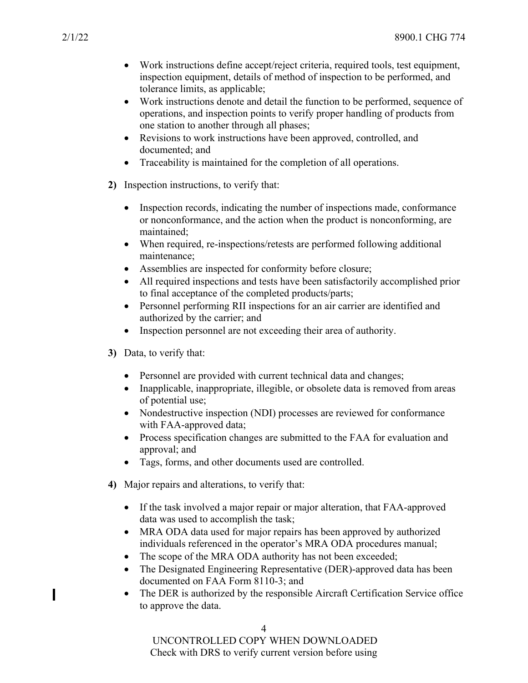- Work instructions define accept/reject criteria, required tools, test equipment, inspection equipment, details of method of inspection to be performed, and tolerance limits, as applicable;
- Work instructions denote and detail the function to be performed, sequence of operations, and inspection points to verify proper handling of products from one station to another through all phases;
- Revisions to work instructions have been approved, controlled, and documented; and
- Traceability is maintained for the completion of all operations.
- **2)** Inspection instructions, to verify that:
	- Inspection records, indicating the number of inspections made, conformance or nonconformance, and the action when the product is nonconforming, are maintained;
	- When required, re-inspections/retests are performed following additional maintenance;
	- Assemblies are inspected for conformity before closure;
	- All required inspections and tests have been satisfactorily accomplished prior to final acceptance of the completed products/parts;
	- Personnel performing RII inspections for an air carrier are identified and authorized by the carrier; and
	- Inspection personnel are not exceeding their area of authority.
- **3)** Data, to verify that:
	- Personnel are provided with current technical data and changes;
	- Inapplicable, inappropriate, illegible, or obsolete data is removed from areas of potential use;
	- Nondestructive inspection (NDI) processes are reviewed for conformance with FAA-approved data;
	- Process specification changes are submitted to the FAA for evaluation and approval; and
	- Tags, forms, and other documents used are controlled.
- **4)** Major repairs and alterations, to verify that:
	- If the task involved a major repair or major alteration, that FAA-approved data was used to accomplish the task;
	- MRA ODA data used for major repairs has been approved by authorized individuals referenced in the operator's MRA ODA procedures manual;
	- The scope of the MRA ODA authority has not been exceeded;
	- The Designated Engineering Representative (DER)-approved data has been documented on FAA Form 8110-3; and
	- The DER is authorized by the responsible Aircraft Certification Service office to approve the data.

 $\blacksquare$ 

UNCONTROLLED COPY WHEN DOWNLOADED Check with DRS to verify current version before using